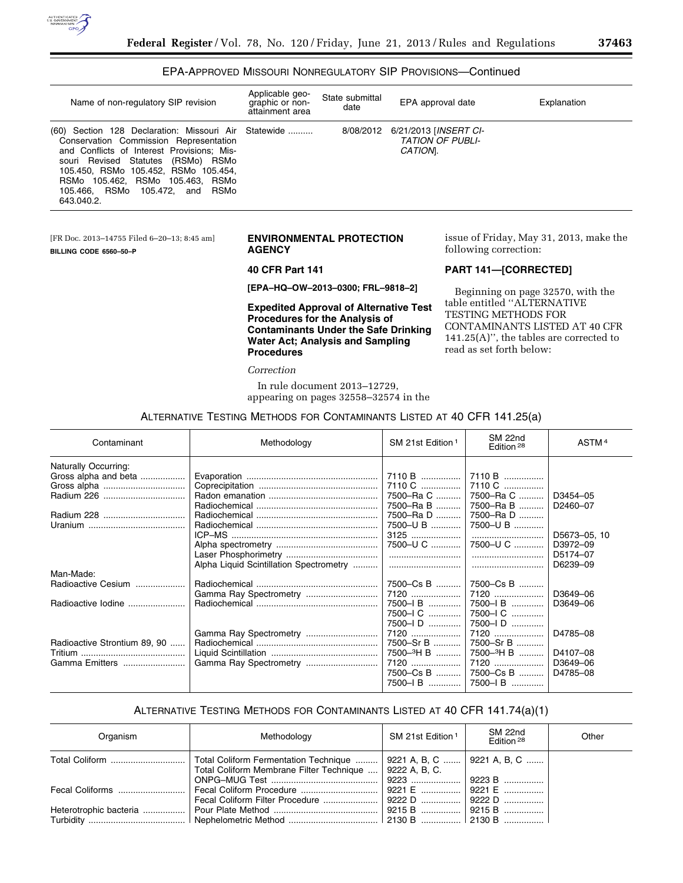

### EPA-APPROVED MISSOURI NONREGULATORY SIP PROVISIONS—Continued

| Name of non-regulatory SIP revision                                                                                                                                                                                                                                                                                      | Applicable geo-<br>graphic or non-<br>attainment area | State submittal<br>date | EPA approval date                                                   | Explanation |
|--------------------------------------------------------------------------------------------------------------------------------------------------------------------------------------------------------------------------------------------------------------------------------------------------------------------------|-------------------------------------------------------|-------------------------|---------------------------------------------------------------------|-------------|
| (60) Section 128 Declaration: Missouri Air Statewide<br>Conservation Commission Representation<br>and Conflicts of Interest Provisions; Mis-<br>souri Revised Statutes (RSMo) RSMo<br>105.450, RSMo 105.452, RSMo 105.454,<br>RSMo 105.462, RSMo 105.463,<br>RSMo<br>105.466, RSMo<br>RSMo<br>105.472, and<br>643.040.2. |                                                       | 8/08/2012               | 6/21/2013 [ <i>INSERT CI-</i><br><b>TATION OF PUBLI-</b><br>CATION. |             |

[FR Doc. 2013–14755 Filed 6–20–13; 8:45 am] **BILLING CODE 6560–50–P** 

### **ENVIRONMENTAL PROTECTION AGENCY**

### **40 CFR Part 141**

**[EPA–HQ–OW–2013–0300; FRL–9818–2]** 

**Expedited Approval of Alternative Test Procedures for the Analysis of Contaminants Under the Safe Drinking Water Act; Analysis and Sampling Procedures** 

*Correction* 

In rule document 2013–12729, appearing on pages 32558–32574 in the issue of Friday, May 31, 2013, make the following correction:

### **PART 141—[CORRECTED]**

Beginning on page 32570, with the table entitled ''ALTERNATIVE TESTING METHODS FOR CONTAMINANTS LISTED AT 40 CFR 141.25(A)'', the tables are corrected to read as set forth below:

### ALTERNATIVE TESTING METHODS FOR CONTAMINANTS LISTED AT 40 CFR 141.25(a)

| Contaminant                  | Methodology                             | SM 21st Edition <sup>1</sup> | SM 22nd<br>Edition <sup>28</sup> | ASTM <sup>4</sup> |
|------------------------------|-----------------------------------------|------------------------------|----------------------------------|-------------------|
| Naturally Occurring:         |                                         |                              |                                  |                   |
| Gross alpha and beta         |                                         | 7110 B                       | 7110 B                           |                   |
|                              |                                         | 7110 C                       | 7110 C                           |                   |
|                              |                                         | 7500-Ra C                    | 7500-Ra C                        | D3454-05          |
|                              |                                         | 7500-Ra B                    | 7500-Ra B                        | D2460-07          |
|                              |                                         | 7500-Ra D                    | 7500-Ra D                        |                   |
|                              |                                         | 7500-U B                     | 7500-U B                         |                   |
|                              |                                         | $3125$                       |                                  | D5673-05, 10      |
|                              |                                         | 7500-U C                     | 7500-U C                         | D3972-09          |
|                              |                                         |                              |                                  | D5174-07          |
|                              | Alpha Liquid Scintillation Spectrometry |                              |                                  | D6239-09          |
| Man-Made:                    |                                         |                              |                                  |                   |
| Radioactive Cesium           |                                         | 7500–Cs B                    | 7500–Cs B                        |                   |
|                              | Gamma Ray Spectrometry                  | 7120                         | 7120                             | D3649-06          |
| Radioactive lodine           |                                         | 7500-IB                      | 7500-1B                          | D3649-06          |
|                              |                                         | 7500-I C                     | 7500-I C                         |                   |
|                              |                                         | $7500 - 1$ D                 | 7500-ID                          |                   |
|                              | Gamma Ray Spectrometry                  | 7120                         | 7120                             | D4785-08          |
| Radioactive Strontium 89, 90 |                                         | 7500-Sr B                    | 7500-Sr B                        |                   |
|                              |                                         | 7500 <sup>-3</sup> H B       | 7500 <sup>-3</sup> H B           | D4107-08          |
| Gamma Emitters               |                                         | 7120                         | 7120                             | D3649-06          |
|                              |                                         | 7500–Cs B                    | 7500–Cs B                        | D4785-08          |
|                              |                                         | 7500-IB                      | 7500-IB                          |                   |
|                              |                                         |                              |                                  |                   |

## ALTERNATIVE TESTING METHODS FOR CONTAMINANTS LISTED AT 40 CFR 141.74(a)(1)

| Organism       | Methodology                                                                                                                        | SM 21st Edition 1 | SM 22nd<br>Fdition <sup>28</sup> | Other |
|----------------|------------------------------------------------------------------------------------------------------------------------------------|-------------------|----------------------------------|-------|
| Total Coliform | Total Coliform Fermentation Technique    9221 A, B, C    9221 A, B, C<br>Total Coliform Membrane Filter Technique    9222 A, B, C. |                   |                                  |       |
|                | │ Fecal Coliform Procedure …………………………    │ 9221 E ……………    │ 9221 E ……………<br>Fecal Coliform Filter Procedure    9222 D    9222 D   |                   |                                  |       |
|                |                                                                                                                                    |                   |                                  |       |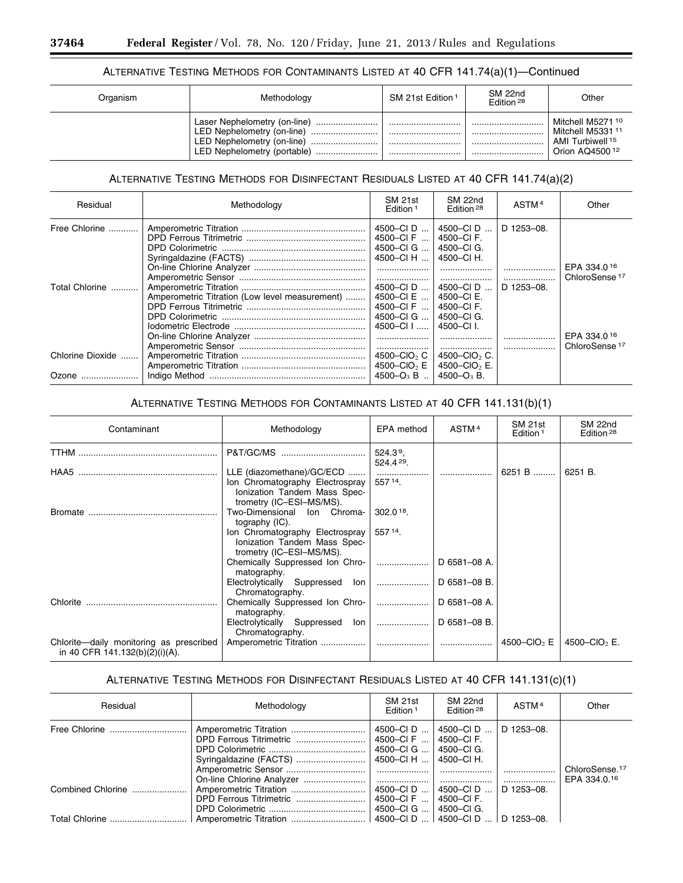## ALTERNATIVE TESTING METHODS FOR CONTAMINANTS LISTED AT 40 CFR 141.74(a)(1)—Continued

| Organism | Methodology                                                                                                                             | SM 21st Edition <sup>1</sup> | SM 22nd<br>Edition 28 | Other                                                                                                          |
|----------|-----------------------------------------------------------------------------------------------------------------------------------------|------------------------------|-----------------------|----------------------------------------------------------------------------------------------------------------|
|          | Laser Nephelometry (on-line)<br><br>LED Nephelometry (on-line)<br><br>LED Nephelometry (on-line)<br><br>LED Nephelometry (portable)<br> | <br><br><br>                 | <br><br><br>          | Mitchell M5271 <sup>10</sup><br>Mitchell M5331 11<br>AMI Turbiwell <sup>15</sup><br>Orion AQ4500 <sup>12</sup> |

# ALTERNATIVE TESTING METHODS FOR DISINFECTANT RESIDUALS LISTED AT 40 CFR 141.74(a)(2)

| Residual                  | Methodology                                    | SM 21st<br>Edition <sup>1</sup>                                        | SM 22nd<br>Edition <sup>28</sup>                                                   | ASTM <sup>4</sup> | Other                                    |
|---------------------------|------------------------------------------------|------------------------------------------------------------------------|------------------------------------------------------------------------------------|-------------------|------------------------------------------|
| Free Chlorine             |                                                | 4500-CID<br>4500-CIF<br>4500-CIG<br>4500-CI H                          | 4500-CID<br>4500-CI F.<br>4500-CI G.<br>4500-CI H.                                 | D 1253-08.        | EPA 334.016                              |
| Total Chlorine            | Amperometric Titration (Low level measurement) | 4500-CID<br>4500-CI E<br>4500-CIF<br>4500-CIG<br>4500-CII              | <br>4500–CID<br>4500-CI E.<br>4500-CI F.<br>4500-CI G.<br>4500-CII.                | <br>D 1253-08.    | ChloroSense <sup>17</sup>                |
| Chlorine Dioxide<br>Ozone |                                                | 4500–CIO <sub>2</sub> C<br>4500 $-CIO$ <sub>2</sub> E<br>4500– $O_3$ B | <br>4500-CIO <sub>2</sub> C.<br>4500-CIO <sub>2</sub> E.<br>4500–O <sub>3</sub> B. |                   | EPA 334.016<br>ChloroSense <sup>17</sup> |

## ALTERNATIVE TESTING METHODS FOR CONTAMINANTS LISTED AT 40 CFR 141.131(b)(1)

| Contaminant                                                               | Methodology                                                                                                              | EPA method                     | ASTM <sup>4</sup> | SM 21st<br>Edition <sup>1</sup> | SM 22nd<br>Edition <sup>28</sup> |
|---------------------------------------------------------------------------|--------------------------------------------------------------------------------------------------------------------------|--------------------------------|-------------------|---------------------------------|----------------------------------|
|                                                                           | P&T/GC/MS                                                                                                                | 524.3 <sup>9</sup><br>524.429. |                   |                                 |                                  |
| HAA5                                                                      | LLE (diazomethane)/GC/ECD<br>Ion Chromatography Electrospray<br>Ionization Tandem Mass Spec-<br>trometry (IC-ESI-MS/MS). | 557 14.                        |                   | 6251 B                          | 6251 B.                          |
| Bromate                                                                   | Two-Dimensional Ion Chroma-<br>tography (IC).                                                                            | 302.018                        |                   |                                 |                                  |
|                                                                           | Ion Chromatography Electrospray<br>Ionization Tandem Mass Spec-<br>trometry (IC-ESI-MS/MS).                              | 557 14.                        |                   |                                 |                                  |
|                                                                           | Chemically Suppressed Ion Chro-<br>matography.                                                                           |                                | D 6581-08 A.      |                                 |                                  |
|                                                                           | Electrolytically Suppressed Ion<br>Chromatography.                                                                       |                                | D 6581-08 B.      |                                 |                                  |
| Chlorite                                                                  | Chemically Suppressed Ion Chro-<br>matography.                                                                           |                                | D 6581-08 A.      |                                 |                                  |
|                                                                           | Electrolytically Suppressed Ion  <br>Chromatography.                                                                     |                                | D 6581-08 B.      |                                 |                                  |
| Chlorite-daily monitoring as prescribed<br>in 40 CFR 141.132(b)(2)(i)(A). |                                                                                                                          |                                |                   | 4500–CIO <sub>2</sub> E         | 4500–CIO <sub>2</sub> E.         |

# ALTERNATIVE TESTING METHODS FOR DISINFECTANT RESIDUALS LISTED AT 40 CFR 141.131(c)(1)

| Residual                            | Methodology | SM 21st<br>Edition <sup>1</sup>                                            | SM 22nd<br>Edition <sup>28</sup>      | ASTM <sup>4</sup>            | Other                      |
|-------------------------------------|-------------|----------------------------------------------------------------------------|---------------------------------------|------------------------------|----------------------------|
|                                     |             | 4500-CID<br>4500-CIF    4500-CIF.<br>4500-CI G  I<br>4500-CIH    4500-CIH. | 4500-CID<br>4500–CI G.                | D 1253-08.                   | ChloroSense. <sup>17</sup> |
| Combined Chlorine<br>Total Chlorine |             | 4500–CID  I<br>4500-CI F<br>4500-CIG                                       | 4500–CI D<br>4500–CI F.<br>4500-CI G. | <br>D 1253-08.<br>D 1253–08. | EPA 334.0.16               |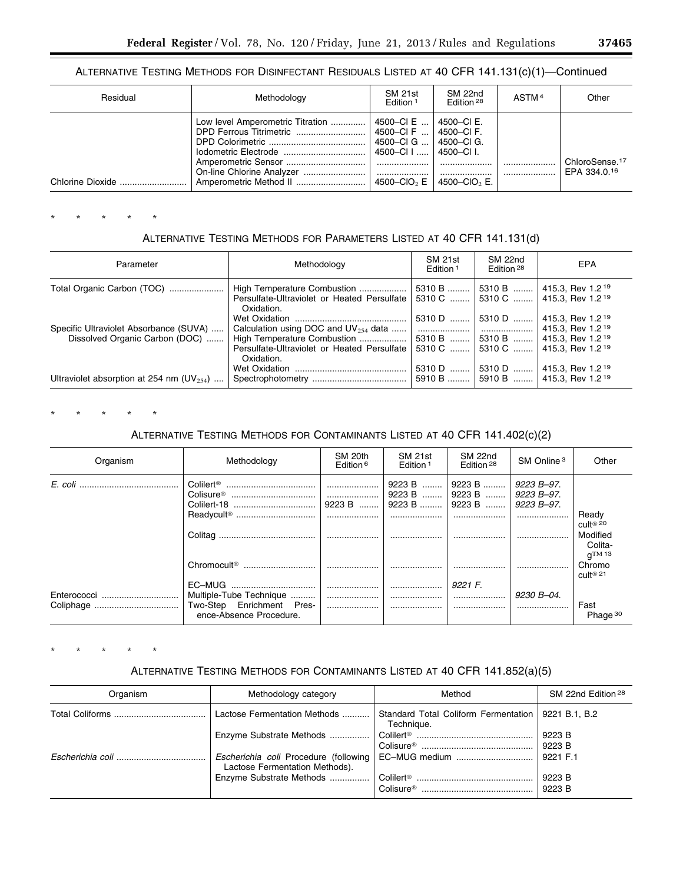## ALTERNATIVE TESTING METHODS FOR DISINFECTANT RESIDUALS LISTED AT 40 CFR 141.131(c)(1)—Continued

| Residual         | Methodology                      | SM 21st<br>Edition <sup>1</sup>                                                                                                    | SM 22nd<br>Edition <sup>28</sup>           | ASTM <sup>4</sup> | Other                                      |
|------------------|----------------------------------|------------------------------------------------------------------------------------------------------------------------------------|--------------------------------------------|-------------------|--------------------------------------------|
| Chlorine Dioxide | Low level Amperometric Titration | 4500–CI E<br>⊢4500–CIF  I 4500–CIF.<br>4500–CIG    4500–CIG.<br>4500-CI I    4500-CI I.<br><br>4500–CIO <sub>2</sub> E $\parallel$ | 4500–CI E.<br><br>4500–CIO <sub>2</sub> E. |                   | ChloroSense. <sup>17</sup><br>EPA 334.0.16 |

\* \* \* \* \*

# ALTERNATIVE TESTING METHODS FOR PARAMETERS LISTED AT 40 CFR 141.131(d)

| Parameter                                                                | Methodology                                                                              | SM 21st<br>Edition <sup>1</sup> | SM 22nd<br>Edition <sup>28</sup> | <b>EPA</b>                                                                                       |
|--------------------------------------------------------------------------|------------------------------------------------------------------------------------------|---------------------------------|----------------------------------|--------------------------------------------------------------------------------------------------|
| Total Organic Carbon (TOC)                                               | High Temperature Combustion<br>Persulfate-Ultraviolet or Heated Persulfate<br>Oxidation. | 5310 B<br>5310 C                | 5310 B                           | $ $ 415.3, Rev 1.2 <sup>19</sup><br>5310 C    415.3, Rev 1.2 <sup>19</sup>                       |
| Specific Ultraviolet Absorbance (SUVA)<br>Dissolved Organic Carbon (DOC) | Calculation using DOC and $UV_{254}$ data<br>High Temperature Combustion                 | 5310 D<br>.<br>5310 B           | 5310 D<br>5310 B                 | 415.3, Rev 1.2 <sup>19</sup><br>  415.3, Rev 1.2 <sup>19</sup><br>  415.3, Rev 1.2 <sup>19</sup> |
|                                                                          | Persulfate-Ultraviolet or Heated Persulfate<br>Oxidation.                                | 5310 C                          | 5310 C                           | 415.3. Rev 1.2 <sup>19</sup>                                                                     |
| Ultraviolet absorption at 254 nm $(UV_{254})$                            |                                                                                          | 5310 D<br>5910 B                | 5310 D                           | 415.3, Rev 1.2 <sup>19</sup><br>5910 B    415.3, Rev 1.2 <sup>19</sup>                           |

\* \* \* \* \*

# ALTERNATIVE TESTING METHODS FOR CONTAMINANTS LISTED AT 40 CFR 141.402(c)(2)

| Organism    | Methodology                                                                               | SM 20th<br>Edition $6$ | SM 21st<br>Edition <sup>1</sup> | SM 22nd<br>Edition <sup>28</sup>     | SM Online <sup>3</sup>                 | Other                                                   |
|-------------|-------------------------------------------------------------------------------------------|------------------------|---------------------------------|--------------------------------------|----------------------------------------|---------------------------------------------------------|
|             |                                                                                           | <br>9223 B             | 9223 B   <br>9223 B             | 9223 B    9223 B<br>9223 B<br>9223 B | 9223 B–97.<br>9223 B-97.<br>9223 B–97. |                                                         |
|             | Readycult <sup>®</sup>                                                                    |                        |                                 |                                      |                                        | Ready<br>cult® 20<br>Modified<br>Colita-<br>$q^{TM}$ 13 |
|             | Chromocult <sup>®</sup>                                                                   |                        |                                 |                                      |                                        | Chromo<br>$\text{Cult}^{\otimes 21}$                    |
| Enterococci | EC-MUG<br>Multiple-Tube Technique<br>Two-Step Enrichment Pres-<br>ence-Absence Procedure. | <br>                   | <br>                            | 9221 F.<br>                          | 9230 B-04.                             | Fast<br>Phage <sup>30</sup>                             |

\* \* \* \* \*

# ALTERNATIVE TESTING METHODS FOR CONTAMINANTS LISTED AT 40 CFR 141.852(a)(5)

| Organism | Methodology category                                                    | Method                                                             | SM 22nd Edition <sup>28</sup> |
|----------|-------------------------------------------------------------------------|--------------------------------------------------------------------|-------------------------------|
|          | Lactose Fermentation Methods                                            | Standard Total Coliform Fermentation   9221 B.1, B.2<br>Technique. |                               |
|          | Enzyme Substrate Methods                                                |                                                                    | 9223 B<br>$\vert$ 9223 B      |
|          | Escherichia coli Procedure (following<br>Lactose Fermentation Methods). | EC-MUG medium    9221 F.1                                          |                               |
|          |                                                                         | Colisure <sup>®</sup>                                              | 9223 B<br>9223 B              |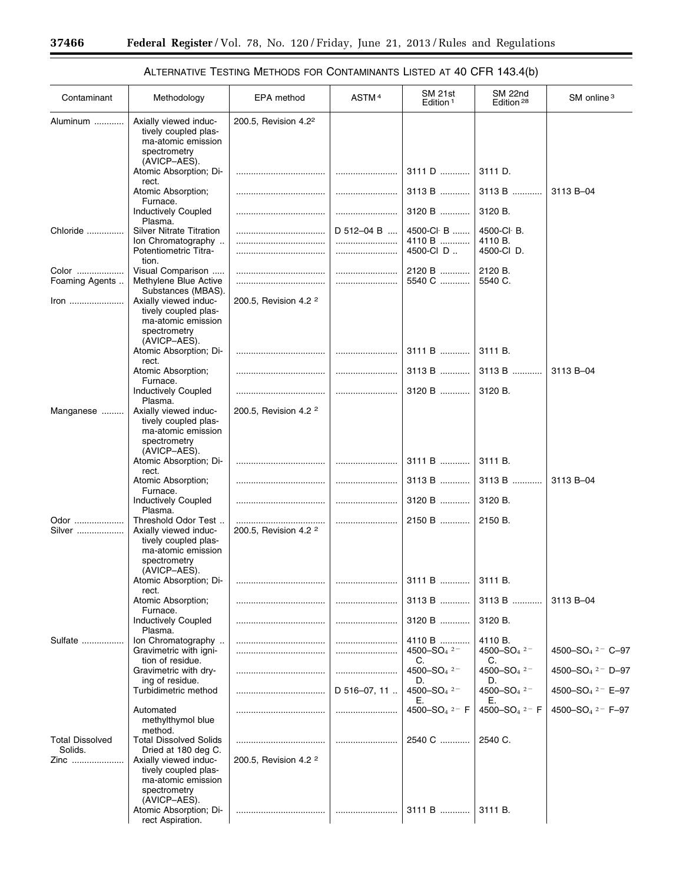-

| Contaminant                       | Methodology                                                                                               | <b>EPA</b> method                | ASTM <sup>4</sup> | SM 21st<br>Edition <sup>1</sup>     | SM 22nd<br>Edition <sup>28</sup>     | SM online <sup>3</sup>           |
|-----------------------------------|-----------------------------------------------------------------------------------------------------------|----------------------------------|-------------------|-------------------------------------|--------------------------------------|----------------------------------|
| Aluminum                          | Axially viewed induc-<br>tively coupled plas-<br>ma-atomic emission<br>spectrometry                       | 200.5, Revision 4.2 <sup>2</sup> |                   |                                     |                                      |                                  |
|                                   | (AVICP-AES).<br>Atomic Absorption; Di-                                                                    |                                  |                   | 3111 D                              | 3111 D.                              |                                  |
|                                   | rect.<br>Atomic Absorption;<br>Furnace.                                                                   |                                  |                   | 3113 B                              | 3113 B                               | 3113 B-04                        |
|                                   | Inductively Coupled<br>Plasma.                                                                            |                                  |                   | 3120 B                              | 3120 B.                              |                                  |
| Chloride                          | <b>Silver Nitrate Titration</b><br>Ion Chromatography<br>Potentiometric Titra-                            |                                  | $D$ 512-04 B<br>  | 4500-Cl B<br>4110 B<br>4500-CID     | 4500-CI-B.<br>4110 B.<br>4500-CI D.  |                                  |
| Color<br>Foaming Agents           | tion.<br>Visual Comparison<br>Methylene Blue Active                                                       |                                  |                   | 2120 B<br>5540 C                    | 2120 B.<br>5540 C.                   |                                  |
|                                   | Substances (MBAS).<br>Axially viewed induc-<br>tively coupled plas-<br>ma-atomic emission<br>spectrometry | 200.5, Revision 4.2 <sup>2</sup> |                   |                                     |                                      |                                  |
|                                   | (AVICP-AES).<br>Atomic Absorption; Di-                                                                    |                                  |                   | 3111 B                              | 3111 B.                              |                                  |
|                                   | rect.<br>Atomic Absorption;<br>Furnace.                                                                   |                                  |                   | $3113 B$                            | 3113 B                               | 3113 B-04                        |
|                                   | <b>Inductively Coupled</b><br>Plasma.                                                                     |                                  |                   | 3120 B                              | 3120 B.                              |                                  |
| Manganese                         | Axially viewed induc-<br>tively coupled plas-<br>ma-atomic emission<br>spectrometry                       | 200.5, Revision 4.2 <sup>2</sup> |                   |                                     |                                      |                                  |
|                                   | (AVICP-AES).<br>Atomic Absorption; Di-                                                                    |                                  |                   | 3111 B                              | 3111 B.                              |                                  |
|                                   | rect.<br>Atomic Absorption;                                                                               |                                  |                   | 3113 B                              | $3113 B$                             | 3113 B-04                        |
|                                   | Furnace.<br>Inductively Coupled<br>Plasma.                                                                |                                  |                   | 3120 B                              | 3120 B.                              |                                  |
| Odor<br>Silver                    | Threshold Odor Test<br>Axially viewed induc-<br>tively coupled plas-<br>ma-atomic emission                | 200.5, Revision 4.2 <sup>2</sup> |                   | 2150 B                              | 2150 B.                              |                                  |
|                                   | spectrometry<br>(AVICP-AES).<br>Atomic Absorption; Di-<br>rect.                                           |                                  |                   | 3111 B                              | 3111 B.                              |                                  |
|                                   | Atomic Absorption;<br>Furnace.                                                                            |                                  |                   | 3113 B                              | 3113 B                               | 3113 B-04                        |
|                                   | <b>Inductively Coupled</b><br>Plasma.                                                                     |                                  |                   | 3120 B                              | 3120 B.                              |                                  |
| Sulfate                           | Ion Chromatography<br>Gravimetric with igni-                                                              |                                  |                   | 4110 B<br>4500-SO <sub>4</sub> $2-$ | 4110 B.<br>4500-SO <sub>4</sub> $2-$ | 4500-SO <sub>4</sub> $2 - C$ -97 |
|                                   | tion of residue.<br>Gravimetric with dry-                                                                 |                                  |                   | C.<br>4500-SO <sub>4</sub> $2^-$    | C.<br>4500-SO <sub>4</sub> $2^-$     | 4500-SO <sub>4</sub> $2 -$ D-97  |
|                                   | ing of residue.<br>Turbidimetric method                                                                   |                                  | D 516-07, 11      | D.<br>4500-SO <sub>4</sub> $2-$     | D.<br>4500-SO <sub>4</sub> $2-$      | 4500-SO <sub>4</sub> $2 -$ E-97  |
|                                   | Automated<br>methylthymol blue<br>method.                                                                 |                                  |                   | Е.<br>4500-SO <sub>4</sub> $2-$ F   | Е.<br>4500-SO <sub>4</sub> $2 - F$   | 4500-SO <sub>4</sub> $2 - F-97$  |
| <b>Total Dissolved</b><br>Solids. | <b>Total Dissolved Solids</b><br>Dried at 180 deg C.                                                      |                                  |                   | 2540 C                              | 2540 C.                              |                                  |
| Zinc                              | Axially viewed induc-<br>tively coupled plas-<br>ma-atomic emission<br>spectrometry<br>(AVICP-AES).       | 200.5, Revision 4.2 <sup>2</sup> |                   |                                     |                                      |                                  |
|                                   | Atomic Absorption; Di-<br>rect Aspiration.                                                                |                                  |                   | 3111 B                              | 3111 B.                              |                                  |

# ALTERNATIVE TESTING METHODS FOR CONTAMINANTS LISTED AT 40 CFR 143.4(b)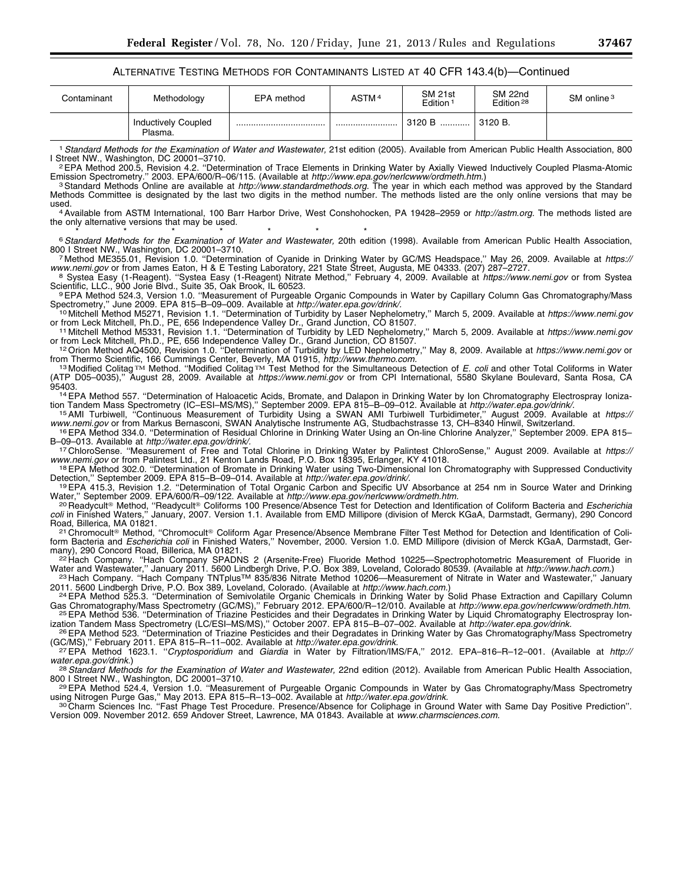#### ALTERNATIVE TESTING METHODS FOR CONTAMINANTS LISTED AT 40 CFR 143.4(b)—Continued

| Contaminant | Methodology                           | EPA method | ASTM <sup>4</sup> | SM 21st<br>Edition <sup>1</sup> | SM 22nd<br>Edition <sup>28</sup> | SM online <sup>3</sup> |
|-------------|---------------------------------------|------------|-------------------|---------------------------------|----------------------------------|------------------------|
|             | <b>Inductively Coupled</b><br>Plasma. |            |                   | 3120 B                          | 3120 B.                          |                        |

1*Standard Methods for the Examination of Water and Wastewater,* 21st edition (2005). Available from American Public Health Association, 800 I Street NW., Washington, DC 20001–3710.<br><sup>2</sup>EPA Method 200.5, Revision 4.2. "Determination of Trace Elements in Drinking Water by Axially Viewed Inductively Coupled Plasma-Atomic

Emission Spectrometry." 2003. EPA/600/R–06/115. (Available at *http://www.epa.gov/nerlcwww/ordmeth.htm*.[\)](http://www.epa.gov/nerlcwww/ordmeth.htm)<br><sup>3</sup> Standard Methods Online are available at *http://www.standardmethods.org.* The year in which each method was app Methods Committee is designated by the last two digits in the method number. The methods listed are the only online versions that may be

used. 4Available from ASTM International, 100 Barr Harbor Drive, West Conshohocken, PA 19428–2959 or *[http://astm.org.](http://astm.org)* The methods listed are the only alternative versions that may be used.

<sup>6</sup> Standard Methods for the Examination of Water and Wastewater, 20th edition (1998). Available from American Public Health Association,<br>800 I Street NW., Washington, DC 20001-3710.

800 I Method ME355.01, Revision 1.0. "Determination of Cyanide in Drinking Water by GC/MS Headspace," May 26, 2009. Available at *https://*<br>www.nemi.gov or from James Eaton, H & E Testing Laboratory, 221 State Street, Augu

8 System Easy (1-Reagent). "System Easy (1-Reagent) Nitrate Method," February 4, 2009. Available at https://[www.nemi.gov](https://www.nemi.gov) or from System Scientific, LLC., 900 Jorie Blvd., Suite 35, Oak Brook, IL 60523.

Scientific, LLC., 900 Jorie Blvd., Suite 35, Oak Brook, IL 60523.<br>9EPA Method 524.3, Version 1.0. "Measurement of Purgeable Organic Compounds in Water by Capillary Column Gas Chromatography/Mass

Spectrometry," June 2009. EPA 815–B–09–009. Available at *[http://water.epa.gov/drink/.](http://water.epa.gov/drink/)*<br><sup>10</sup> Mitchell Method M5271, Revision 1.1. "Determination of Turbidity by Laser Nephelometry," March 5, 2009. Available at *https://www* or from Leck Mitchell, Ph.D., PE, 656 Independence Valley Dr., Grand Junction, CO 81507.<br><sup>11</sup> Mitchell Method M5331, Revision 1.1. "Determination of Turbidity by LED Nephelometry," March 5, 2009. Available at https://www.n

or from Leck Mitchell, Ph.D., PE, 656 Independence Valley Dr., Grand Junction, CO 81507.<br>12 Orion Method AQ4500, Revision 1.0. "Determination of Turbidity by LED Nephelometry," May 8, 2009. Available at https://www.nemi.go

from Thermo Scientific, 166 Cummings Center, Beverly, MA 01915, *http://www.thermo.com.*<br>1<sup>3</sup> Modified Colitag™ Method. "Modified Colitag™ Test Method for the Simultaneous Detection of *E. coli* and other Total Coliforms (ATP D05–0035),'' August 28, 2009. Available at *<https://www.nemi.gov>* or from CPI International, 5580 Skylane Boulevard, Santa Rosa, CA

95403.<br><sup>14</sup>EPA Method 557. "Determination of Haloacetic Acids, Bromate, and Dalapon in Drinking Water by Ion Chromatography Electrospray Ionization Tandem Mass Spectrometry (IC–ESI–MS/MS)," September 2009. EPA 815–B–09–012. Available at *[http://water.epa.gov/drink/.](http://water.epa.gov/drink/)*<br><sup>15</sup> AMI Turbiwell, "Continuous Measurement of Turbidity Using a SWAN AMI Turbiwell Turbidimeter,

[www.nemi.gov](https://www.nemi.gov) or from Markus Bernasconi, SWAN Analytische Instrumente AG, Studbachstrasse 13, CH-8340 Hinwil, Switzerland.<br><sup>16</sup> EPA Method 334.0. "Determination of Residual Chlorine in Drinking Water Using an On-line Chlori

B–09–013. Available at *[http://water.epa.gov/drink/.](http://water.epa.gov/drink/)*<br>17 ChloroSense. "Measurement of Free and Total Chlorine in Drinking Water by Palintest ChloroSense," August 2009. Available at *https://* 

[www.nemi.gov](https://www.nemi.gov) or from Palintest Ltd., 21 Kenton Lands Road, P.O. Box 18395, Erlanger, KY 41018.<br><sup>18</sup> EPA Method 302.0. "Determination of Bromate in Drinking Water using Two-Dimensional Ion Chromatography with Suppressed Con

Detection," September 2009. EPA 815–B–09–014. Available at *[http://water.epa.gov/drink/.](http://water.epa.gov/drink/)*<br>19EPA 415.3, Revision 1.2. "Determination of Total Organic Carbon and Specific UV Absorbance at 254 nm in Source Water and Drinking

Water," September 2009. EPA/600/R–09/122. Available at *[http://www.epa.gov/nerlcwww/ordmeth.htm.](http://www.epa.gov/nerlcwww/ordmeth.htm)*<br><sup>20</sup> Readycult® Method, "Readycult® Coliforms 100 Presence/Absence Test for Detection and Identification of Coliform Bacteri <sup>20</sup> Readycult® Method, "Readycult® Coliforms 100 Presence/Absence Test for Detection and Identification of Coliform Bacteria and *Escherichia*<br>*coli* in Finished Waters," January, 2007. Version 1.1. Available from EMD Mil

21 Chromocult<sup>®</sup> Method, "Chromocult® Coliform Agar Presence/Absence Membrane Filter Test Method for Detection and Identification of Coliform Bacteria and *Escherichia coli* in Finished Waters," November, 2000. Version 1.0. EMD Millipore (division of Merck KGaA, Darmstadt, Ger-<br>many), 290 Concord Road, Billerica, MA 01821.

many), 290 Concord Road, Billerica, MA 01821.<br><sup>22</sup> Hach Company. "Hach Company SPADNS 2 (Arsenite-Free) Fluoride Method 10225—Spectrophotometric Measurement of Fluoride in

Water and Wastewater," January 2011. 5600 Lindbergh Drive, P.O. Box 389, Loveland, Colorado 80539. (Available at *http://www.hach.com.*)<br><sup>23</sup> Hach Company. "Hach Company TNTplus™ 835/836 Nitrate Method 10206—Measurement o

2011. 5600 Lindbergh Drive, P.O. Box 389, Loveland, Colorado. (Available at http://www.hach.com.[\)](http://www.hach.com)<br><sup>24</sup> EPA Method 525.3. "Determination of Semivolatile Organic Chemicals in Drinking Water by Solid Phase Extraction and Capi Gas Chromatography/Mass Spectrometry (GC/MS)," February 2012. EPA/600/R-12/010. Available at *http://www.epa.gov/nerlcwww/ordmeth.htm.*<br>-<sup>25</sup> EPA Method 536. "Determination of Triazine Pesticides and their Degradates in Dr

ization Tandem Mass Spectrometry (LC/ESI–MS/MS)," October 2007. EPA 815–B–07–002. Available at *http://water.epa.gov/drink.*<br><sup>26</sup> EPA Method 523. "Determination of Triazine Pesticides and their Degradates in Drinking Water

(GC/MS)," February 2011. EPA 815–R–11–002. Available at *[http://water.epa.gov/drink.](http://water.epa.gov/drink)*<br>27 EPA Method 1623.1. "*Cryptosporidium* and *Giardia* in Water by Filtration/IMS/FA," 2012. EPA–816–R–12–001. (Available at *http://* 

[water.epa.gov/drink.](http://water.epa.gov/drink))<br><sup>28</sup> Standard Methods for the Examination of Water and Wastewater, 22nd edition (2012). Available from American Public Health Association,<br>800 I Street NW., Washington, DC 20001–3710. 800 I Street NW., Washington, DC 20001–3710.<br><sup>29</sup> EPA Method 524.4, Version 1.0. "Measurement of Purgeable Organic Compounds in Water by Gas Chromatography/Mass Spectrometry

using Nitrogen Purge Gas," May 2013. EPA 815–R–13–002. Available at *[http://water.epa.gov/drink.](http://water.epa.gov/drink)*<br>3º Charm Sciences Inc. "Fast Phage Test Procedure. Presence/Absence for Coliphage in Ground Water with Same Day Positive Pre

Version 009. November 2012. 659 Andover Street, Lawrence, MA 01843. Available at *[www.charmsciences.com.](http://www.charmsciences.com)*